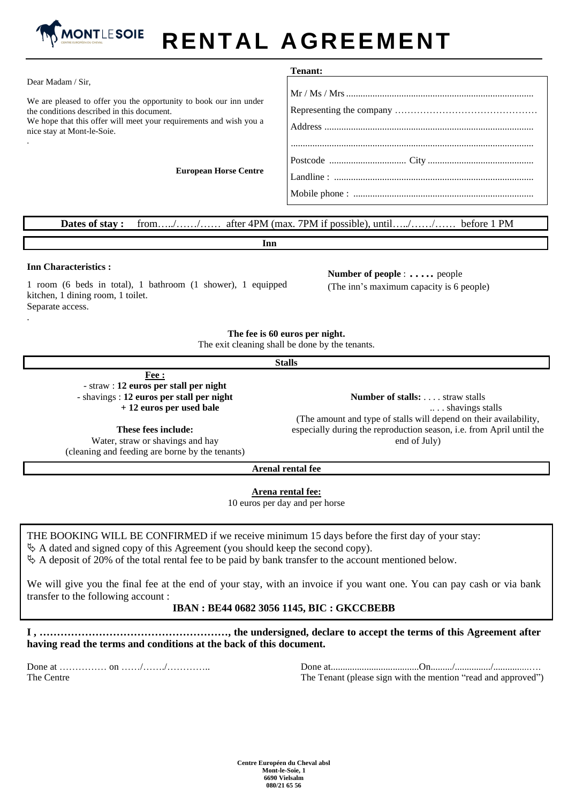

# **RENTAL AGREEMENT**

|                                                                                                                                                                                                                     | Tenant: |
|---------------------------------------------------------------------------------------------------------------------------------------------------------------------------------------------------------------------|---------|
| Dear Madam / Sir,                                                                                                                                                                                                   |         |
| We are pleased to offer you the opportunity to book our inn under<br>the conditions described in this document.<br>We hope that this offer will meet your requirements and wish you a<br>nice stay at Mont-le-Soie. |         |
| <b>European Horse Centre</b>                                                                                                                                                                                        |         |
|                                                                                                                                                                                                                     |         |
| from// after 4PM (max. 7PM if possible), until// before 1 PM<br>Dates of stay:                                                                                                                                      |         |

**Inn**

### **Inn Characteristics :**

.

1 room (6 beds in total), 1 bathroom (1 shower), 1 equipped kitchen, 1 dining room, 1 toilet. Separate access.

**Number of people** :….. people (The inn's maximum capacity is 6 people)

**The fee is 60 euros per night.**

The exit cleaning shall be done by the tenants.

#### **Stalls**

**Fee :** - straw : **12 euros per stall per night** - shavings : **12 euros per stall per night + 12 euros per used bale**

**These fees include:** Water, straw or shavings and hay (cleaning and feeding are borne by the tenants)

**Number of stalls:** . . . . straw stalls .. . . shavings stalls (The amount and type of stalls will depend on their availability, especially during the reproduction season, i.e. from April until the end of July)

**Arenal rental fee**

**Arena rental fee:**

10 euros per day and per horse

THE BOOKING WILL BE CONFIRMED if we receive minimum 15 days before the first day of your stay:

 $\&$  A dated and signed copy of this Agreement (you should keep the second copy).

 $\&$  A deposit of 20% of the total rental fee to be paid by bank transfer to the account mentioned below.

We will give you the final fee at the end of your stay, with an invoice if you want one. You can pay cash or via bank transfer to the following account :

#### **IBAN : BE44 0682 3056 1145, BIC : GKCCBEBB**

**I , ………………………………………………, the undersigned, declare to accept the terms of this Agreement after having read the terms and conditions at the back of this document.** 

Done at …………… on ……/……./………….. The Centre

Done at.....................................On........./.............../...............…. The Tenant (please sign with the mention "read and approved")